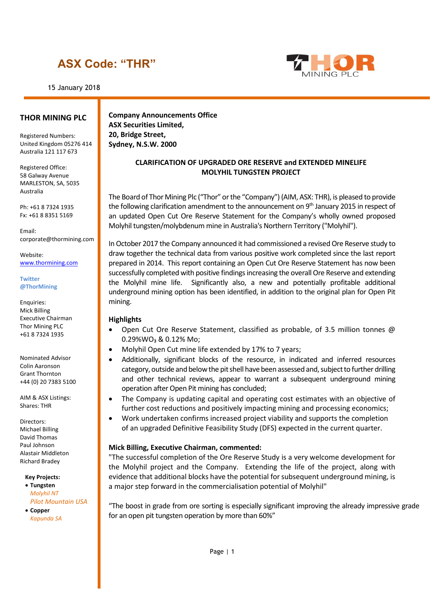15 January 2018



#### **THOR MINING PLC**

Registered Numbers: United Kingdom 05276 414 Australia 121 117 673

Registered Office: 58 Galway Avenue MARLESTON, SA, 5035 Australia

Ph: +61 8 7324 1935 Fx: +61 8 8351 5169

Email: corporate@thormining.com

Website: [www.thormining.com](http://www.thormining.com/)

#### **Twitter @ThorMining**

Enquiries: Mick Billing Executive Chairman Thor Mining PLC +61 8 7324 1935

Nominated Advisor Colin Aaronson Grant Thornton +44 (0) 20 7383 5100

AIM & ASX Listings: Shares: THR

Directors: Michael Billing David Thomas Paul Johnson Alastair Middleton Richard Bradey

#### **Key Projects:**

• **Tungsten** *Molyhil NT Pilot Mountain USA*

• **Copper** *Kapunda SA* **Company Announcements Office ASX Securities Limited, 20, Bridge Street, Sydney, N.S.W. 2000**

#### **CLARIFICATION OF UPGRADED ORE RESERVE and EXTENDED MINELIFE MOLYHIL TUNGSTEN PROJECT**

The Board of Thor Mining Plc ("Thor" or the "Company") (AIM, ASX: THR), is pleased to provide the following clarification amendment to the announcement on 9<sup>th</sup> January 2015 in respect of an updated Open Cut Ore Reserve Statement for the Company's wholly owned proposed Molyhil tungsten/molybdenum mine in Australia's Northern Territory ("Molyhil").

In October 2017 the Company announced it had commissioned a revised Ore Reserve study to draw together the technical data from various positive work completed since the last report prepared in 2014. This report containing an Open Cut Ore Reserve Statement has now been successfully completed with positive findings increasing the overall Ore Reserve and extending the Molyhil mine life. Significantly also, a new and potentially profitable additional underground mining option has been identified, in addition to the original plan for Open Pit mining.

#### **Highlights**

- Open Cut Ore Reserve Statement, classified as probable, of 3.5 million tonnes  $\omega$ 0.29%WO₃ & 0.12% Mo;
- Molyhil Open Cut mine life extended by 17% to 7 years;
- Additionally, significant blocks of the resource, in indicated and inferred resources category, outside and below the pit shell have been assessed and, subject to further drilling and other technical reviews, appear to warrant a subsequent underground mining operation after Open Pit mining has concluded;
- The Company is updating capital and operating cost estimates with an objective of further cost reductions and positively impacting mining and processing economics;
- Work undertaken confirms increased project viability and supports the completion of an upgraded Definitive Feasibility Study (DFS) expected in the current quarter.

#### **Mick Billing, Executive Chairman, commented:**

"The successful completion of the Ore Reserve Study is a very welcome development for the Molyhil project and the Company. Extending the life of the project, along with evidence that additional blocks have the potential for subsequent underground mining, is a major step forward in the commercialisation potential of Molyhil"

"The boost in grade from ore sorting is especially significant improving the already impressive grade for an open pit tungsten operation by more than 60%"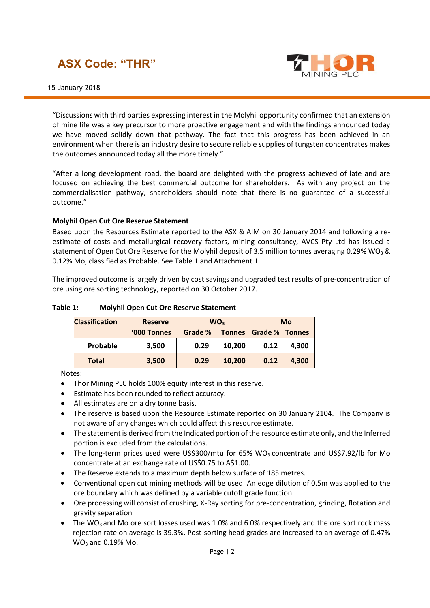

"Discussions with third parties expressing interest in the Molyhil opportunity confirmed that an extension of mine life was a key precursor to more proactive engagement and with the findings announced today we have moved solidly down that pathway. The fact that this progress has been achieved in an environment when there is an industry desire to secure reliable supplies of tungsten concentrates makes the outcomes announced today all the more timely."

"After a long development road, the board are delighted with the progress achieved of late and are focused on achieving the best commercial outcome for shareholders. As with any project on the commercialisation pathway, shareholders should note that there is no guarantee of a successful outcome."

#### **Molyhil Open Cut Ore Reserve Statement**

Based upon the Resources Estimate reported to the ASX & AIM on 30 January 2014 and following a reestimate of costs and metallurgical recovery factors, mining consultancy, AVCS Pty Ltd has issued a statement of Open Cut Ore Reserve for the Molyhil deposit of 3.5 million tonnes averaging 0.29% WO<sub>3</sub> & 0.12% Mo, classified as Probable. See Table 1 and Attachment 1.

The improved outcome is largely driven by cost savings and upgraded test results of pre-concentration of ore using ore sorting technology, reported on 30 October 2017.

### **Table 1: Molyhil Open Cut Ore Reserve Statement**

| <b>Classification</b> | <b>Reserve</b> | WO <sub>3</sub> |        |                       | Mo    |
|-----------------------|----------------|-----------------|--------|-----------------------|-------|
|                       | '000 Tonnes    | Grade %         |        | Tonnes Grade % Tonnes |       |
| Probable              | 3,500          | 0.29            | 10.200 | 0.12                  | 4.300 |
| <b>Total</b>          | 3,500          | 0.29            | 10,200 | 0.12                  | 4.300 |

Notes:

- Thor Mining PLC holds 100% equity interest in this reserve.
- Estimate has been rounded to reflect accuracy.
- All estimates are on a dry tonne basis.
- The reserve is based upon the Resource Estimate reported on 30 January 2104. The Company is not aware of any changes which could affect this resource estimate.
- The statement is derived from the Indicated portion of the resource estimate only, and the Inferred portion is excluded from the calculations.
- The long-term prices used were US\$300/mtu for  $65\%$  WO<sub>3</sub> concentrate and US\$7.92/lb for Mo concentrate at an exchange rate of US\$0.75 to A\$1.00.
- The Reserve extends to a maximum depth below surface of 185 metres.
- Conventional open cut mining methods will be used. An edge dilution of 0.5m was applied to the ore boundary which was defined by a variable cutoff grade function.
- Ore processing will consist of crushing, X-Ray sorting for pre-concentration, grinding, flotation and gravity separation
- The WO<sub>3</sub> and Mo ore sort losses used was 1.0% and 6.0% respectively and the ore sort rock mass rejection rate on average is 39.3%. Post-sorting head grades are increased to an average of 0.47% WO<sup>3</sup> and 0.19% Mo.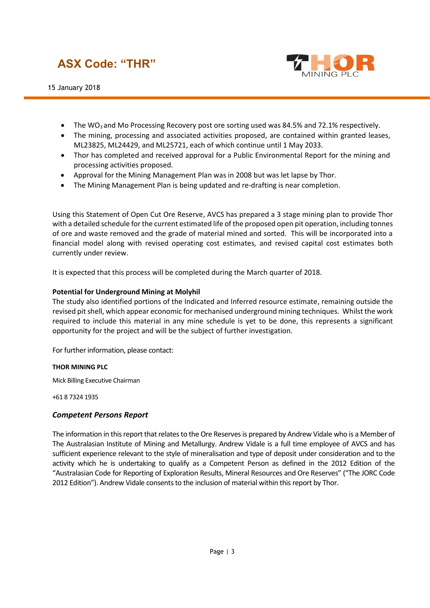15 January 2018



- The WO<sub>3</sub> and Mo Processing Recovery post ore sorting used was 84.5% and 72.1% respectively.
- The mining, processing and associated activities proposed, are contained within granted leases, ML23825, ML24429, and ML25721, each of which continue until 1 May 2033.
- Thor has completed and received approval for a Public Environmental Report for the mining and processing activities proposed.
- Approval for the Mining Management Plan was in 2008 but was let lapse by Thor.
- The Mining Management Plan is being updated and re-drafting is near completion.

Using this Statement of Open Cut Ore Reserve, AVCS has prepared a 3 stage mining plan to provide Thor with a detailed schedule for the current estimated life of the proposed open pit operation, including tonnes of ore and waste removed and the grade of material mined and sorted. This will be incorporated into a financial model along with revised operating cost estimates, and revised capital cost estimates both currently under review.

It is expected that this process will be completed during the March quarter of 2018.

#### **Potential for Underground Mining at Molyhil**

The study also identified portions of the Indicated and Inferred resource estimate, remaining outside the revised pit shell, which appear economic for mechanised underground mining techniques. Whilst the work required to include this material in any mine schedule is yet to be done, this represents a significant opportunity for the project and will be the subject of further investigation.

For further information, please contact:

#### **THOR MINING PLC**

Mick Billing Executive Chairman

+61 8 7324 1935

#### *Competent Persons Report*

The information in this report that relates to the Ore Reserves is prepared by Andrew Vidale who is a Member of The Australasian Institute of Mining and Metallurgy. Andrew Vidale is a full time employee of AVCS and has sufficient experience relevant to the style of mineralisation and type of deposit under consideration and to the activity which he is undertaking to qualify as a Competent Person as defined in the 2012 Edition of the "Australasian Code for Reporting of Exploration Results, Mineral Resources and Ore Reserves" ("The JORC Code 2012 Edition"). Andrew Vidale consents to the inclusion of material within this report by Thor.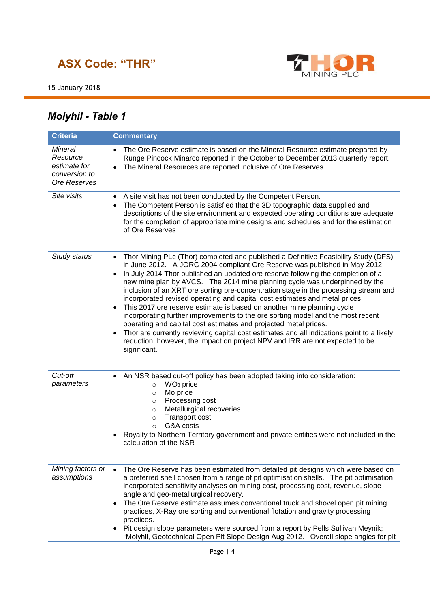

15 January 2018

# *Molyhil - Table 1*

| <b>Criteria</b>                                                      | <b>Commentary</b>                                                                                                                                                                                                                                                                                                                                                                                                                                                                                                                                                                                                                                                                                                                                                                                                                                                                                                                        |
|----------------------------------------------------------------------|------------------------------------------------------------------------------------------------------------------------------------------------------------------------------------------------------------------------------------------------------------------------------------------------------------------------------------------------------------------------------------------------------------------------------------------------------------------------------------------------------------------------------------------------------------------------------------------------------------------------------------------------------------------------------------------------------------------------------------------------------------------------------------------------------------------------------------------------------------------------------------------------------------------------------------------|
| Mineral<br>Resource<br>estimate for<br>conversion to<br>Ore Reserves | The Ore Reserve estimate is based on the Mineral Resource estimate prepared by<br>Runge Pincock Minarco reported in the October to December 2013 quarterly report.<br>The Mineral Resources are reported inclusive of Ore Reserves.                                                                                                                                                                                                                                                                                                                                                                                                                                                                                                                                                                                                                                                                                                      |
| Site visits                                                          | A site visit has not been conducted by the Competent Person.<br>$\bullet$<br>The Competent Person is satisfied that the 3D topographic data supplied and<br>descriptions of the site environment and expected operating conditions are adequate<br>for the completion of appropriate mine designs and schedules and for the estimation<br>of Ore Reserves                                                                                                                                                                                                                                                                                                                                                                                                                                                                                                                                                                                |
| Study status                                                         | Thor Mining PLc (Thor) completed and published a Definitive Feasibility Study (DFS)<br>in June 2012. A JORC 2004 compliant Ore Reserve was published in May 2012.<br>In July 2014 Thor published an updated ore reserve following the completion of a<br>new mine plan by AVCS. The 2014 mine planning cycle was underpinned by the<br>inclusion of an XRT ore sorting pre-concentration stage in the processing stream and<br>incorporated revised operating and capital cost estimates and metal prices.<br>This 2017 ore reserve estimate is based on another mine planning cycle<br>incorporating further improvements to the ore sorting model and the most recent<br>operating and capital cost estimates and projected metal prices.<br>Thor are currently reviewing capital cost estimates and all indications point to a likely<br>reduction, however, the impact on project NPV and IRR are not expected to be<br>significant. |
| Cut-off<br>parameters                                                | An NSR based cut-off policy has been adopted taking into consideration:<br>$\bullet$<br>WO <sub>3</sub> price<br>$\circ$<br>Mo price<br>$\circ$<br>Processing cost<br>$\circ$<br>Metallurgical recoveries<br>$\circ$<br><b>Transport cost</b><br>$\circ$<br>G&A costs<br>$\circ$<br>Royalty to Northern Territory government and private entities were not included in the<br>calculation of the NSR                                                                                                                                                                                                                                                                                                                                                                                                                                                                                                                                     |
| Mining factors or<br>assumptions                                     | The Ore Reserve has been estimated from detailed pit designs which were based on<br>a preferred shell chosen from a range of pit optimisation shells. The pit optimisation<br>incorporated sensitivity analyses on mining cost, processing cost, revenue, slope<br>angle and geo-metallurgical recovery.<br>The Ore Reserve estimate assumes conventional truck and shovel open pit mining<br>practices, X-Ray ore sorting and conventional flotation and gravity processing<br>practices.<br>Pit design slope parameters were sourced from a report by Pells Sullivan Meynik;<br>"Molyhil, Geotechnical Open Pit Slope Design Aug 2012. Overall slope angles for pit                                                                                                                                                                                                                                                                    |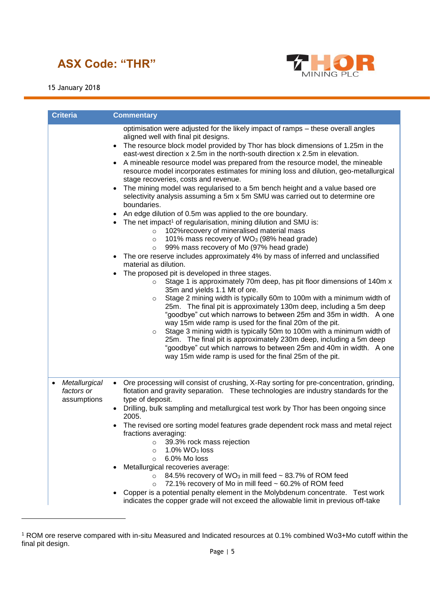

-



| <b>Criteria</b>                                 | <b>Commentary</b>                                                                                                                                                                                                                                                                                                                                                                                                                                                                                                                                                                                                                                                                                                                                                                                                                                                                                                                                                                                                                                                                                                                                                                                                                                                                                                                                                                                                                                                                                                                                                                                                                                                                                                                                                                                                                                                                                                |
|-------------------------------------------------|------------------------------------------------------------------------------------------------------------------------------------------------------------------------------------------------------------------------------------------------------------------------------------------------------------------------------------------------------------------------------------------------------------------------------------------------------------------------------------------------------------------------------------------------------------------------------------------------------------------------------------------------------------------------------------------------------------------------------------------------------------------------------------------------------------------------------------------------------------------------------------------------------------------------------------------------------------------------------------------------------------------------------------------------------------------------------------------------------------------------------------------------------------------------------------------------------------------------------------------------------------------------------------------------------------------------------------------------------------------------------------------------------------------------------------------------------------------------------------------------------------------------------------------------------------------------------------------------------------------------------------------------------------------------------------------------------------------------------------------------------------------------------------------------------------------------------------------------------------------------------------------------------------------|
|                                                 | optimisation were adjusted for the likely impact of ramps - these overall angles<br>aligned well with final pit designs.<br>The resource block model provided by Thor has block dimensions of 1.25m in the<br>east-west direction x 2.5m in the north-south direction x 2.5m in elevation.<br>A mineable resource model was prepared from the resource model, the mineable<br>resource model incorporates estimates for mining loss and dilution, geo-metallurgical<br>stage recoveries, costs and revenue.<br>The mining model was regularised to a 5m bench height and a value based ore<br>selectivity analysis assuming a 5m x 5m SMU was carried out to determine ore<br>boundaries.<br>An edge dilution of 0.5m was applied to the ore boundary.<br>• The net impact <sup>1</sup> of regularisation, mining dilution and SMU is:<br>102% recovery of mineralised material mass<br>$\circ$<br>101% mass recovery of WO <sub>3</sub> (98% head grade)<br>$\circ$<br>99% mass recovery of Mo (97% head grade)<br>$\circ$<br>The ore reserve includes approximately 4% by mass of inferred and unclassified<br>$\bullet$<br>material as dilution.<br>The proposed pit is developed in three stages.<br>Stage 1 is approximately 70m deep, has pit floor dimensions of 140m x<br>$\circ$<br>35m and yields 1.1 Mt of ore.<br>Stage 2 mining width is typically 60m to 100m with a minimum width of<br>$\circ$<br>25m. The final pit is approximately 130m deep, including a 5m deep<br>"goodbye" cut which narrows to between 25m and 35m in width. A one<br>way 15m wide ramp is used for the final 20m of the pit.<br>Stage 3 mining width is typically 50m to 100m with a minimum width of<br>$\circ$<br>25m. The final pit is approximately 230m deep, including a 5m deep<br>"goodbye" cut which narrows to between 25m and 40m in width. A one<br>way 15m wide ramp is used for the final 25m of the pit. |
| Metallurgical<br>٠<br>factors or<br>assumptions | • Ore processing will consist of crushing, X-Ray sorting for pre-concentration, grinding,<br>flotation and gravity separation. These technologies are industry standards for the<br>type of deposit.<br>• Drilling, bulk sampling and metallurgical test work by Thor has been ongoing since<br>2005.<br>• The revised ore sorting model features grade dependent rock mass and metal reject<br>fractions averaging:<br>39.3% rock mass rejection<br>$\circ$<br>$1.0\%$ WO <sub>3</sub> loss<br>$\circ$<br>6.0% Mo loss<br>$\circ$<br>Metallurgical recoveries average:<br>84.5% recovery of WO <sub>3</sub> in mill feed ~ 83.7% of ROM feed<br>$\circ$<br>72.1% recovery of Mo in mill feed ~ 60.2% of ROM feed<br>$\circ$<br>Copper is a potential penalty element in the Molybdenum concentrate. Test work<br>indicates the copper grade will not exceed the allowable limit in previous off-take                                                                                                                                                                                                                                                                                                                                                                                                                                                                                                                                                                                                                                                                                                                                                                                                                                                                                                                                                                                                            |

<sup>1</sup> ROM ore reserve compared with in-situ Measured and Indicated resources at 0.1% combined Wo3+Mo cutoff within the final pit design.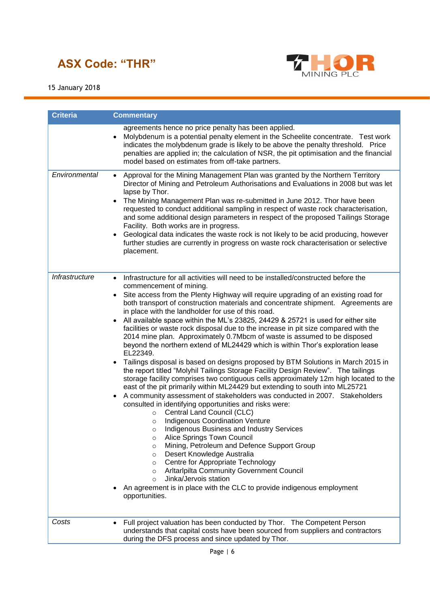

15 January 2018

| <b>Criteria</b> | <b>Commentary</b>                                                                                                                                                                                                                                                                                                                                                                                                                                                                                                                                                                                                                                                                                                                                                                                                                                                                                                                                                                                                                                                                                                                                                                                                                                                                                                                                                                                                                                                                                                                                                                                                                                                                                                                                                                                                   |
|-----------------|---------------------------------------------------------------------------------------------------------------------------------------------------------------------------------------------------------------------------------------------------------------------------------------------------------------------------------------------------------------------------------------------------------------------------------------------------------------------------------------------------------------------------------------------------------------------------------------------------------------------------------------------------------------------------------------------------------------------------------------------------------------------------------------------------------------------------------------------------------------------------------------------------------------------------------------------------------------------------------------------------------------------------------------------------------------------------------------------------------------------------------------------------------------------------------------------------------------------------------------------------------------------------------------------------------------------------------------------------------------------------------------------------------------------------------------------------------------------------------------------------------------------------------------------------------------------------------------------------------------------------------------------------------------------------------------------------------------------------------------------------------------------------------------------------------------------|
|                 | agreements hence no price penalty has been applied.<br>Molybdenum is a potential penalty element in the Scheelite concentrate. Test work<br>$\bullet$<br>indicates the molybdenum grade is likely to be above the penalty threshold. Price<br>penalties are applied in; the calculation of NSR, the pit optimisation and the financial<br>model based on estimates from off-take partners.                                                                                                                                                                                                                                                                                                                                                                                                                                                                                                                                                                                                                                                                                                                                                                                                                                                                                                                                                                                                                                                                                                                                                                                                                                                                                                                                                                                                                          |
| Environmental   | Approval for the Mining Management Plan was granted by the Northern Territory<br>$\bullet$<br>Director of Mining and Petroleum Authorisations and Evaluations in 2008 but was let<br>lapse by Thor.<br>The Mining Management Plan was re-submitted in June 2012. Thor have been<br>$\bullet$<br>requested to conduct additional sampling in respect of waste rock characterisation,<br>and some additional design parameters in respect of the proposed Tailings Storage<br>Facility. Both works are in progress.<br>Geological data indicates the waste rock is not likely to be acid producing, however<br>further studies are currently in progress on waste rock characterisation or selective<br>placement.                                                                                                                                                                                                                                                                                                                                                                                                                                                                                                                                                                                                                                                                                                                                                                                                                                                                                                                                                                                                                                                                                                    |
| Infrastructure  | Infrastructure for all activities will need to be installed/constructed before the<br>$\bullet$<br>commencement of mining.<br>Site access from the Plenty Highway will require upgrading of an existing road for<br>$\bullet$<br>both transport of construction materials and concentrate shipment. Agreements are<br>in place with the landholder for use of this road.<br>All available space within the ML's 23825, 24429 & 25721 is used for either site<br>$\bullet$<br>facilities or waste rock disposal due to the increase in pit size compared with the<br>2014 mine plan. Approximately 0.7Mbcm of waste is assumed to be disposed<br>beyond the northern extend of ML24429 which is within Thor's exploration lease<br>EL22349.<br>Tailings disposal is based on designs proposed by BTM Solutions in March 2015 in<br>$\bullet$<br>the report titled "Molyhil Tailings Storage Facility Design Review". The tailings<br>storage facility comprises two contiguous cells approximately 12m high located to the<br>east of the pit primarily within ML24429 but extending to south into ML25721<br>A community assessment of stakeholders was conducted in 2007. Stakeholders<br>$\bullet$<br>consulted in identifying opportunities and risks were:<br>Central Land Council (CLC)<br>$\circ$<br><b>Indigenous Coordination Venture</b><br>$\circ$<br><b>Indigenous Business and Industry Services</b><br>$\bigcirc$<br>Alice Springs Town Council<br>$\circ$<br>Mining, Petroleum and Defence Support Group<br>$\circ$<br>Desert Knowledge Australia<br>$\circ$<br>Centre for Appropriate Technology<br>$\circ$<br>Arltarlpilta Community Government Council<br>$\circ$<br>Jinka/Jervois station<br>$\Omega$<br>An agreement is in place with the CLC to provide indigenous employment<br>opportunities. |
| Costs           | Full project valuation has been conducted by Thor. The Competent Person<br>$\bullet$<br>understands that capital costs have been sourced from suppliers and contractors<br>during the DFS process and since updated by Thor.                                                                                                                                                                                                                                                                                                                                                                                                                                                                                                                                                                                                                                                                                                                                                                                                                                                                                                                                                                                                                                                                                                                                                                                                                                                                                                                                                                                                                                                                                                                                                                                        |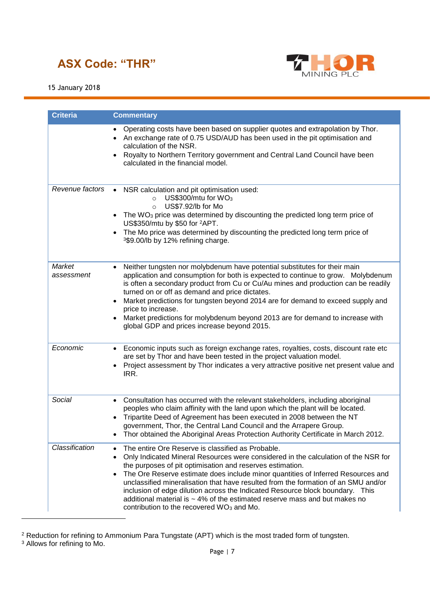

### 15 January 2018

| <b>Criteria</b>      | <b>Commentary</b>                                                                                                                                                                                                                                                                                                                                                                                                                                                                                                                                                                                                                     |
|----------------------|---------------------------------------------------------------------------------------------------------------------------------------------------------------------------------------------------------------------------------------------------------------------------------------------------------------------------------------------------------------------------------------------------------------------------------------------------------------------------------------------------------------------------------------------------------------------------------------------------------------------------------------|
|                      | Operating costs have been based on supplier quotes and extrapolation by Thor.<br>• An exchange rate of 0.75 USD/AUD has been used in the pit optimisation and<br>calculation of the NSR.<br>Royalty to Northern Territory government and Central Land Council have been<br>calculated in the financial model.                                                                                                                                                                                                                                                                                                                         |
| Revenue factors      | NSR calculation and pit optimisation used:<br>$\bullet$<br>US\$300/mtu for $WO3$<br>$\circ$<br>US\$7.92/lb for Mo<br>$\circ$<br>The WO <sub>3</sub> price was determined by discounting the predicted long term price of<br>US\$350/mtu by \$50 for <sup>2</sup> APT.<br>The Mo price was determined by discounting the predicted long term price of<br>$\bullet$<br>3\$9.00/lb by 12% refining charge.                                                                                                                                                                                                                               |
| Market<br>assessment | Neither tungsten nor molybdenum have potential substitutes for their main<br>$\bullet$<br>application and consumption for both is expected to continue to grow. Molybdenum<br>is often a secondary product from Cu or Cu/Au mines and production can be readily<br>turned on or off as demand and price dictates.<br>Market predictions for tungsten beyond 2014 are for demand to exceed supply and<br>price to increase.<br>Market predictions for molybdenum beyond 2013 are for demand to increase with<br>global GDP and prices increase beyond 2015.                                                                            |
| Economic             | Economic inputs such as foreign exchange rates, royalties, costs, discount rate etc<br>$\bullet$<br>are set by Thor and have been tested in the project valuation model.<br>Project assessment by Thor indicates a very attractive positive net present value and<br>IRR.                                                                                                                                                                                                                                                                                                                                                             |
| Social               | Consultation has occurred with the relevant stakeholders, including aboriginal<br>$\bullet$<br>peoples who claim affinity with the land upon which the plant will be located.<br>Tripartite Deed of Agreement has been executed in 2008 between the NT<br>government, Thor, the Central Land Council and the Arrapere Group.<br>Thor obtained the Aboriginal Areas Protection Authority Certificate in March 2012.                                                                                                                                                                                                                    |
| Classification       | The entire Ore Reserve is classified as Probable.<br>$\bullet$<br>Only Indicated Mineral Resources were considered in the calculation of the NSR for<br>$\bullet$<br>the purposes of pit optimisation and reserves estimation.<br>The Ore Reserve estimate does include minor quantities of Inferred Resources and<br>unclassified mineralisation that have resulted from the formation of an SMU and/or<br>inclusion of edge dilution across the Indicated Resource block boundary. This<br>additional material is $\sim$ 4% of the estimated reserve mass and but makes no<br>contribution to the recovered WO <sub>3</sub> and Mo. |

 $^2$  Reduction for refining to Ammonium Para Tungstate (APT) which is the most traded form of tungsten.

-

<sup>&</sup>lt;sup>3</sup> Allows for refining to Mo.